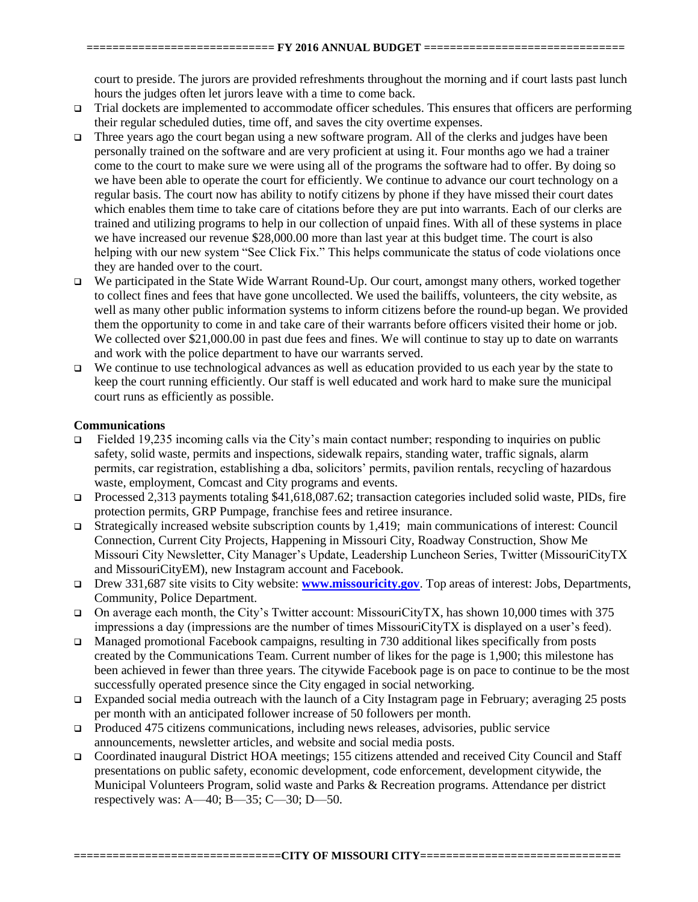court to preside. The jurors are provided refreshments throughout the morning and if court lasts past lunch hours the judges often let jurors leave with a time to come back.

- $\Box$  Trial dockets are implemented to accommodate officer schedules. This ensures that officers are performing their regular scheduled duties, time off, and saves the city overtime expenses.
- Three years ago the court began using a new software program. All of the clerks and judges have been personally trained on the software and are very proficient at using it. Four months ago we had a trainer come to the court to make sure we were using all of the programs the software had to offer. By doing so we have been able to operate the court for efficiently. We continue to advance our court technology on a regular basis. The court now has ability to notify citizens by phone if they have missed their court dates which enables them time to take care of citations before they are put into warrants. Each of our clerks are trained and utilizing programs to help in our collection of unpaid fines. With all of these systems in place we have increased our revenue \$28,000.00 more than last year at this budget time. The court is also helping with our new system "See Click Fix." This helps communicate the status of code violations once they are handed over to the court.
- □ We participated in the State Wide Warrant Round-Up. Our court, amongst many others, worked together to collect fines and fees that have gone uncollected. We used the bailiffs, volunteers, the city website, as well as many other public information systems to inform citizens before the round-up began. We provided them the opportunity to come in and take care of their warrants before officers visited their home or job. We collected over \$21,000.00 in past due fees and fines. We will continue to stay up to date on warrants and work with the police department to have our warrants served.
- $\Box$  We continue to use technological advances as well as education provided to us each year by the state to keep the court running efficiently. Our staff is well educated and work hard to make sure the municipal court runs as efficiently as possible.

## **Communications**

- $\Box$  Fielded 19,235 incoming calls via the City's main contact number; responding to inquiries on public safety, solid waste, permits and inspections, sidewalk repairs, standing water, traffic signals, alarm permits, car registration, establishing a dba, solicitors' permits, pavilion rentals, recycling of hazardous waste, employment, Comcast and City programs and events.
- Processed 2,313 payments totaling  $$41,618,087.62$ ; transaction categories included solid waste, PIDs, fire protection permits, GRP Pumpage, franchise fees and retiree insurance.
- □ Strategically increased website subscription counts by 1,419; main communications of interest: Council Connection, Current City Projects, Happening in Missouri City, Roadway Construction, Show Me Missouri City Newsletter, City Manager's Update, Leadership Luncheon Series, Twitter (MissouriCityTX and MissouriCityEM), new Instagram account and Facebook.
- Drew 331,687 site visits to City website: **www.missouricity.gov**. Top areas of interest: Jobs, Departments, Community, Police Department.
- On average each month, the City's Twitter account: MissouriCityTX, has shown 10,000 times with 375 impressions a day (impressions are the number of times MissouriCityTX is displayed on a user's feed).
- □ Managed promotional Facebook campaigns, resulting in 730 additional likes specifically from posts created by the Communications Team. Current number of likes for the page is 1,900; this milestone has been achieved in fewer than three years. The citywide Facebook page is on pace to continue to be the most successfully operated presence since the City engaged in social networking.
- □ Expanded social media outreach with the launch of a City Instagram page in February; averaging 25 posts per month with an anticipated follower increase of 50 followers per month.
- Produced 475 citizens communications, including news releases, advisories, public service announcements, newsletter articles, and website and social media posts.
- Coordinated inaugural District HOA meetings; 155 citizens attended and received City Council and Staff presentations on public safety, economic development, code enforcement, development citywide, the Municipal Volunteers Program, solid waste and Parks & Recreation programs. Attendance per district respectively was: A—40; B—35; C—30; D—50.